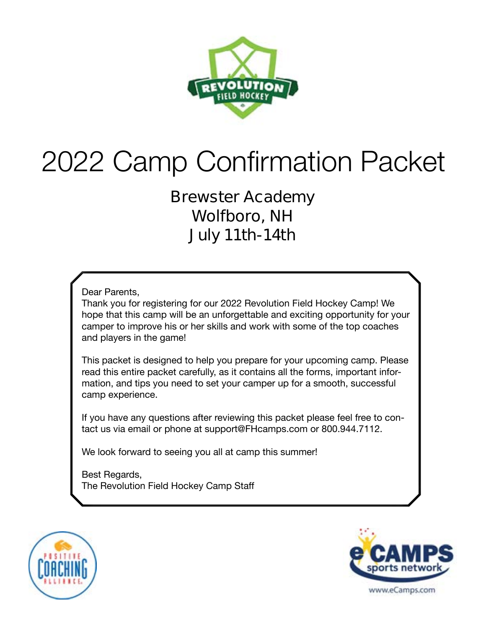

# 2022 Camp Confirmation Packet

**Brewster Academy Wolfboro, NH July 11th-14th**

Dear Parents,

Thank you for registering for our 2022 Revolution Field Hockey Camp! We hope that this camp will be an unforgettable and exciting opportunity for your camper to improve his or her skills and work with some of the top coaches and players in the game!

This packet is designed to help you prepare for your upcoming camp. Please read this entire packet carefully, as it contains all the forms, important information, and tips you need to set your camper up for a smooth, successful camp experience.

If you have any questions after reviewing this packet please feel free to contact us via email or phone at support@FHcamps.com or 800.944.7112.

We look forward to seeing you all at camp this summer!

Best Regards, The Revolution Field Hockey Camp Staff



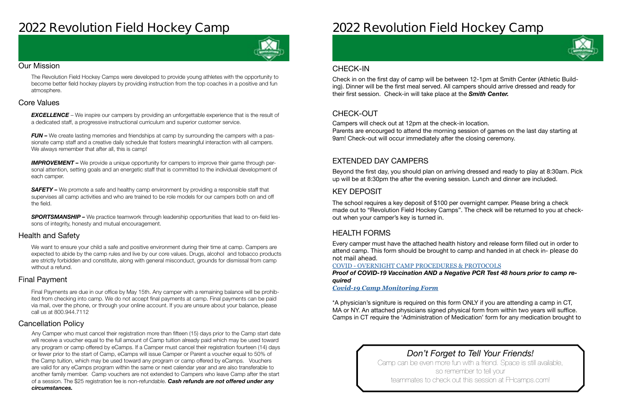## **2022 Revolution Field Hockey Camp**



#### Our Mission

The Revolution Field Hockey Camps were developed to provide young athletes with the opportunity to become better field hockey players by providing instruction from the top coaches in a positive and fun atmosphere.

#### Health and Safety

We want to ensure your child a safe and positive environment during their time at camp. Campers are expected to abide by the camp rules and live by our core values. Drugs, alcohol and tobacco products are strictly forbidden and constitute, along with general misconduct, grounds for dismissal from camp without a refund.

#### Cancellation Policy

#### Final Payment

**EXCELLENCE** – We inspire our campers by providing an unforgettable experience that is the result of a dedicated staff, a progressive instructional curriculum and superior customer service.

*FUN –* We create lasting memories and friendships at camp by surrounding the campers with a passionate camp staff and a creative daily schedule that fosters meaningful interaction with all campers. We always remember that after all, this is camp!

#### Core Values

**IMPROVEMENT** – We provide a unique opportunity for campers to improve their game through personal attention, setting goals and an energetic staff that is committed to the individual development of each camper.

**SAFETY** – We promote a safe and healthy camp environment by providing a responsible staff that supervises all camp activities and who are trained to be role models for our campers both on and off the field.

**SPORTSMANSHIP –** We practice teamwork through leadership opportunities that lead to on-field lessons of integrity, honesty and mutual encouragement.

Final Payments are due in our office by May 15th. Any camper with a remaining balance will be prohibited from checking into camp. We do not accept final payments at camp. Final payments can be paid via mail, over the phone, or through your online account. If you are unsure about your balance, please call us at 800.944.7112

Any Camper who must cancel their registration more than fifteen (15) days prior to the Camp start date will receive a voucher equal to the full amount of Camp tuition already paid which may be used toward any program or camp offered by eCamps. If a Camper must cancel their registration fourteen (14) days or fewer prior to the start of Camp, eCamps will issue Camper or Parent a voucher equal to 50% of the Camp tuition, which may be used toward any program or camp offered by eCamps. Vouchers are valid for any eCamps program within the same or next calendar year and are also transferable to another family member. Camp vouchers are not extended to Campers who leave Camp after the start of a session. The \$25 registration fee is non-refundable. *Cash refunds are not offered under any circumstances.*

## **2022 Revolution Field Hockey Camp**

*Don't Forget to Tell Your Friends!* Camp can be even more fun with a friend. Space is still available, so remember to tell your teammates to check out this session at FHcamps.com!



#### CHECK-OUT

### EXTENDED DAY CAMPERS

#### KEY DEPOSIT

#### HEALTH FORMS

Campers will check out at 12pm at the check-in location. Parents are encourged to attend the morning session of games on the last day starting at 9am! Check-out will occur immediately after the closing ceremony.

Beyond the first day, you should plan on arriving dressed and ready to play at 8:30am. Pick up will be at 8:30pm the after the evening session. Lunch and dinner are included.

The school requires a key deposit of \$100 per overnight camper. Please bring a check made out to "Revolution Field Hockey Camps". The check will be returned to you at checkout when your camper's key is turned in.

Every camper must have the attached health history and release form filled out in order to attend camp. This form should be brought to camp and handed in at check in- **please do not mail ahead**.

COVID - [OVERNIGHT CAMP PROCEDURES & PROTOCOLS](https://laxcamps.com/wp-content/uploads/COVID-19-eCamps-Sports-Network-Guidlines-Overnight-Camp.pdf) *Proof of COVID-19 Vaccination AND a Negative PCR Test 48 hours prior to camp required* 

*[Covid-19 Camp Monitoring Form](https://www.fhcamps.com/wp-content/uploads/FH-Athletic-Monitoring-Form-with-temp.pdf)*

\*A physician's signiture is required on this form ONLY if you are attending a camp in CT, MA or NY. An attached physicians signed physical form from within two years will suffice. Camps in CT require the 'Administration of Medication' form for any medication brought to

#### CHECK-IN

Check in on the first day of camp will be between 12-1pm at Smith Center (Athletic Building). Dinner will be the first meal served. All campers should arrive dressed and ready for their first session. Check-in will take place at the *Smith Center.*